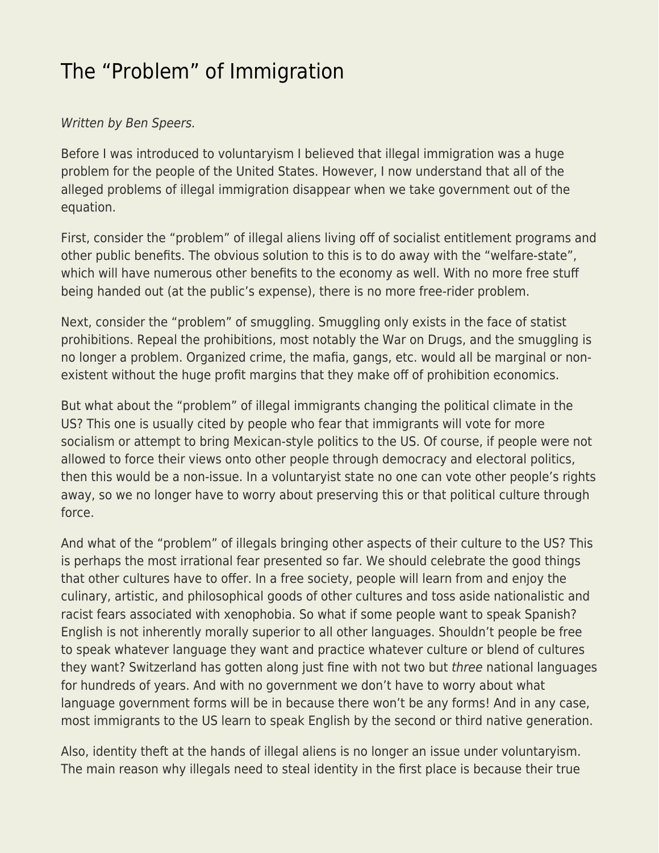## [The "Problem" of Immigration](https://everything-voluntary.com/the-problem-of-immigration)

## Written by Ben Speers.

Before I was introduced to voluntaryism I believed that illegal immigration was a huge problem for the people of the United States. However, I now understand that all of the alleged problems of illegal immigration disappear when we take government out of the equation.

First, consider the "problem" of illegal aliens living off of socialist entitlement programs and other public benefits. The obvious solution to this is to do away with the "welfare-state", which will have numerous other benefits to the economy as well. With no more free stuff being handed out (at the public's expense), there is no more free-rider problem.

Next, consider the "problem" of smuggling. Smuggling only exists in the face of statist prohibitions. Repeal the prohibitions, most notably the War on Drugs, and the smuggling is no longer a problem. Organized crime, the mafia, gangs, etc. would all be marginal or nonexistent without the huge profit margins that they make off of prohibition economics.

But what about the "problem" of illegal immigrants changing the political climate in the US? This one is usually cited by people who fear that immigrants will vote for more socialism or attempt to bring Mexican-style politics to the US. Of course, if people were not allowed to force their views onto other people through democracy and electoral politics, then this would be a non-issue. In a voluntaryist state no one can vote other people's rights away, so we no longer have to worry about preserving this or that political culture through force.

And what of the "problem" of illegals bringing other aspects of their culture to the US? This is perhaps the most irrational fear presented so far. We should celebrate the good things that other cultures have to offer. In a free society, people will learn from and enjoy the culinary, artistic, and philosophical goods of other cultures and toss aside nationalistic and racist fears associated with xenophobia. So what if some people want to speak Spanish? English is not inherently morally superior to all other languages. Shouldn't people be free to speak whatever language they want and practice whatever culture or blend of cultures they want? Switzerland has gotten along just fine with not two but three national languages for hundreds of years. And with no government we don't have to worry about what language government forms will be in because there won't be any forms! And in any case, most immigrants to the US learn to speak English by the second or third native generation.

Also, identity theft at the hands of illegal aliens is no longer an issue under voluntaryism. The main reason why illegals need to steal identity in the first place is because their true